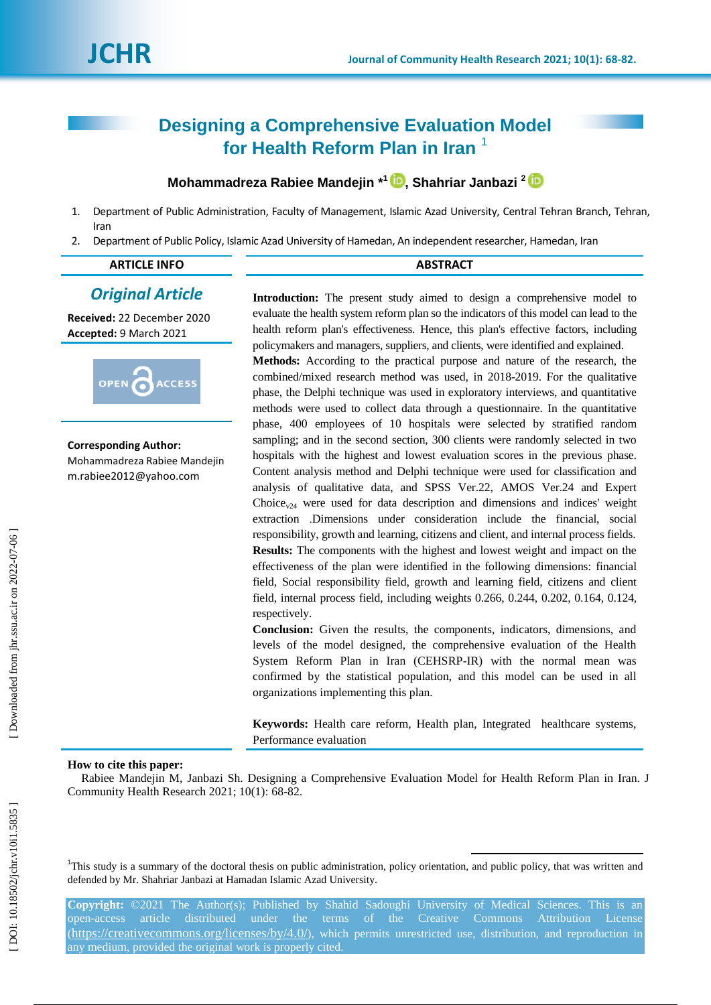# **Designing a Comprehensive Evaluation Model for Health Reform Plan in Iran** 1

# **Mohammadreza Rabiee Mandejin \* 1 , Shahriar Janbazi 2**

- 1. Department of Public Administration, Faculty of Management, Islamic Azad University, Central Tehran Branch, Tehran, Iran
- 2. Department of Public Policy, Islamic Azad University of Hamedan, An independent researcher, Hamedan, Iran

# **ARTICLE INFO ABSTRACT**

# *Original Article*

**Received:** 22 December 2020 **Accepted:** 9 March 202 1



**Corresponding Author:** Mohammadreza Rabiee Mandejin m.rabiee2012@yahoo.co m

**Introduction :** The present study aimed to design a comprehensive model to evaluate the health system reform plan so the indicators of this model can lead to the health reform plan's effectiveness. Hence, this plan's effective factors, including policymakers and managers, suppliers, and clients, were identified and explained.

**Methods:** According to the practical purpose and nature of the research, the combined/mixed research method was used, in 2018 -2019. For the qualitative phase, the Delphi technique was used in exploratory interviews, and quantitative methods were used to collect data through a questionnaire. In the quantitative phase, 400 employees of 10 hospitals were selected by stratified random sampling; and in the second section, 300 clients were randomly selected in two hospitals with the highest and lowest evaluation scores in the previous phase. Content analysis method and Delphi technique were used for classification and analysis of qualitative data, and SPSS Ver.22, AMOS Ver.24 and Expert Choice<sub>v24</sub> were used for data description and dimensions and indices' weight extraction .Dimensions under consideration include the financial, social responsibility, growth and learning, citizens and client, and internal process fields. **Results:** The components with the highest and lowest weight and impact on the effectiveness of the plan were identified in the following dimensions: financial field, Social responsibility field, growth and learning field, citizens and client field, internal process field, including weights 0.266, 0.244, 0.202, 0.164, 0.124, respectivel y .

**Conclusion:** Given the results, the components, indicators, dimensions, and levels of the model designed, the comprehensive evaluation of the Health System Reform Plan in Iran (CEHSRP -IR) with the normal mean was confirmed by the statistical population, and this model can be used in all organizations implementing this plan.

**Keywords:** Health care reform, Health plan, Integrated healthcare systems, Performance evaluation

1

# **How to cite this paper:**

Rabiee Mandejin M, Janbazi Sh. Designing a Comprehensive Evaluation Model for Health Reform Plan in Iran. J Community Health Research 2021; 10(1): 68 -82 .

<sup>1</sup>This study is a summary of the doctoral thesis on public administration, policy orientation, and public policy, that was written and defended by Mr. Shahriar Janbazi at Hamadan Islamic Azad University.

**Copyright:** ©202 1 The Author(s); Published by Shahid Sadoughi University of Medical Sciences. This is an open-access article distributed under the terms of the Creative Commons Attribution License (https://creativecommons.org/licenses/by/4.0/), which permits unrestricted use, distribution, and reproduction in any medium, provided the original work is properly cited.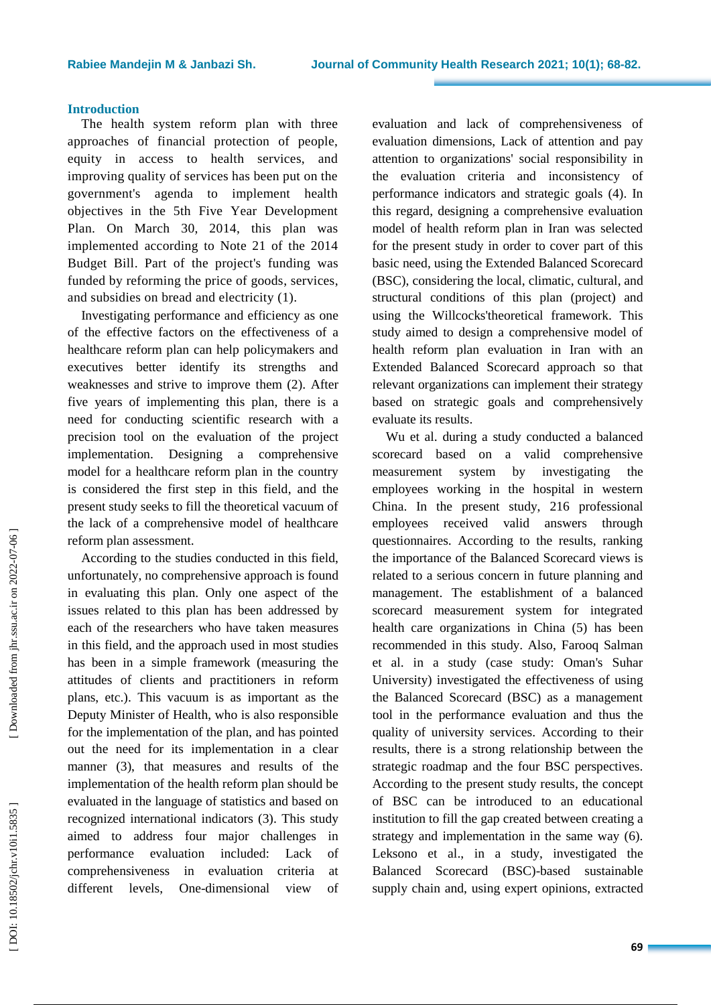#### **Rabiee Mandejin M & Janbazi Sh**

# **Introduction**

The health system reform plan with three approaches of financial protection of people, equity in access to health services, and improving quality of services has been put on the government's agenda to implement health objectives in the 5th Five Year Development Plan. On March 30 , 2014, this plan was implemented according to Note 21 of the 2014 Budget Bill. Part of the project's funding was funded by reforming the price of goods, services, and subsidies on bread and electricity (1).

Investigating performance and efficiency as one of the effective factors on the effectiveness of a healthcare reform plan can help policymakers and executives better identify its strengths and weaknesses and strive to improve them (2). After five years of implementing this plan, there is a need for conducting scientific research with a precision tool on the evaluation of the project implementation. Designing a comprehensive model for a healthcare reform plan in the country is considered the first step in this field , and the present study seeks to fill the theoretical vacuum of the lack of a comprehensive model of healthcare reform plan assessment.

According to the studies conducted in this field, unfortunately, no comprehensive approach is found in evaluating this plan. Only one aspect of the issues related to this plan has been addressed by each of the researchers who have taken measures in this field , and the approach used in most studies has been in a simple framework (measuring the attitudes of client s and practitioners in reform plans, etc.). This vacuum is as important as the Deputy Minister of Health, who is also responsible for the implementation of the plan, and has pointed out the need for its implementation in a clear manner (3), that measures and results of the implementation of the health reform plan should be evaluated in the language of statistics and based on recognized international indicators (3). This study aimed to address four major challenges in performance evaluation included: Lack of comprehensiveness in evaluation criteria at different levels, One-dimensional view of

evaluation and lack of comprehensiveness of evaluation dimensions, Lack of attention and pay attention to organizations' social responsibility in the evaluation criteria and inconsistency of performance indicators and strategic goals (4). In this regard, designing a comprehensive evaluation model of health reform plan in Iran was selected for the present study in order to cover part of this basic need, using the Extended Balanced Scorecard (BSC), considering the local, climatic, cultural , and structural conditions of this plan (project) and using the Willcocks'theoretical framework. This study aimed to design a comprehensive model of health reform plan evaluation in Iran with an Extended Balanced Scorecard approach so that relevant organizations can implement their strategy based on strategic goals and comprehensively evaluate its results .

Wu et al . during a study conducted a balanced scorecard based on a valid comprehensive measurement system by investigating the employees working in the hospital in western China. In the present study, 216 professional employees received valid answers through questionnaires. According to the results, ranking the importance of the Balanced Scorecard views is related to a serious concern in future planning and management. The establishment of a balanced scorecard measurement system for integrated health care organizations in China (5) has been recommended in this study. Also, Farooq Salman et al . in a study (case study: Oman's Suhar University) investigated the effectiveness of using the Balanced Scorecard (BSC) as a management tool in the performance evaluation and thus the quality of university services. According to their results, there is a strong relationship between the strategic roadmap and the four BSC perspectives. According to the present study results , the concept of BSC can be introduced to an educational institution to fill the gap created between creating a strategy and implementation in the same way (6). Leksono et al., in a study , investigated the Balanced Scorecard (BSC) -based sustainable supply chain and , using expert opinions, extracted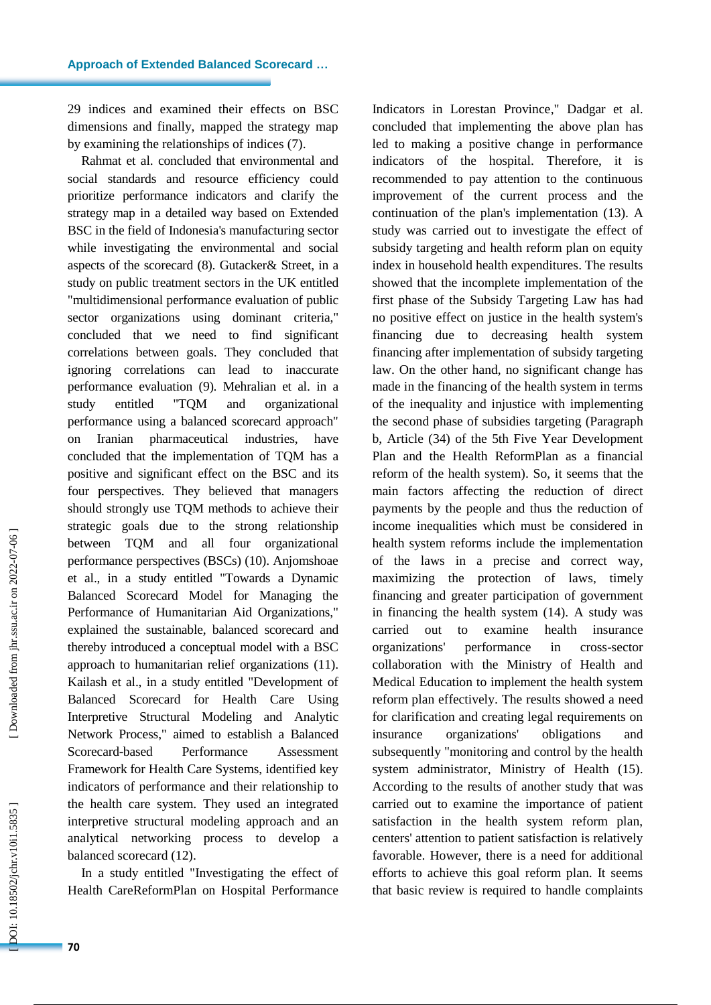29 indices and examined their effects on BSC dimensions and finally, mapped the strategy map by examining the relationships of indices (7).

Rahmat et al. concluded that environmental and social standards and resource efficiency could prioritize performance indicators and clarify the strategy map in a detailed way based on Extended BSC in the field of Indonesia's manufacturing sector while investigating the environmental and social aspects of the scorecard (8). Gutacker& Street , in a study on public treatment sectors in the UK entitled "multidimensional performance evaluation of public sector organizations using dominant criteria," concluded that we need to find significant correlations between goals. They concluded that ignoring correlations can lead to inaccurate performance evaluation (9). Mehralian et al. in a study entitled "TQM and organizational performance using a balanced scorecard approach" on Iranian pharmaceutical industries , have concluded that the implementation of TQM has a positive and significant effect on the BSC and its four perspectives. They believed that managers should strongly use TQM methods to achieve their strategic goals due to the strong relationship between TQM and all four organizational performance perspectives (BSCs) (10). Anjomshoae et al., in a study entitled "Towards a Dynamic Balanced Scorecard Model for Managing the Performance of Humanitarian Aid Organizations , " explained the sustainable , balanced scorecard and thereby introduced a conceptual model with a BSC approach to humanitarian relief organizations (11). Kailash et al., in a study entitled "Development of Balanced Scorecard for Health Care Using Interpretive Structural Modeling and Analytic Network Process," aimed to establish a Balanced Scorecard-based Performance Assessment Framework for Health Care Systems, identified key indicators of performance and their relationship to the health care system. They used an integrated interpretive structural modeling approach and an analytical networking process to develop a balanced scorecard (12).<br>In a study entitled "Investigating the effect of

Health CareReformPlan on Hospital Performance

Indicators in Lorestan Province," Dadgar et al. concluded that implementing the above plan has led to making a positive change in performance indicators of the hospital. Therefore, it is recommended to pay attention to the continuous improvement of the current process and the continuation of the plan's implementation (13). A study was carried out to investigate the effect of subsidy targeting and health reform plan on equity index in household health expenditures. The results showed that the incomplete implementation of the first phase of the Subsidy Targeting Law has had no positive effect on justice in the health system's financing due to decreasing health system financing after implementation of subsidy targeting law . On the other hand, no significant change has made in the financing of the health system in terms of the inequality and injustice with implementing the second phase of subsidies targeting (Paragraph b, Article (34) of the 5th Five Year Development Plan and the Health ReformPlan as a financial reform of the health system ). So, it seems that the main factors affecting the reduction of direct payments by the people and thus the reduction of income inequalities which must be considered in health system reforms include the implementation of the laws in a precise and correct way, maximizing the protection of laws, timely financing and greater participation of government in financing the health system (14). A study was carried out to examine health insurance organizations' performance in cross-sector collaboration with the Ministry of Health and Medical Education to implement the health system reform plan effectively. The results showed a need for clarification and creating legal requirements on insurance organizations' obligations and subsequently "monitoring and control by the health system administrator, Ministry of Health (15). According to the results of another study that was carried out to examine the importance of patient satisfaction in the health system reform plan, centers' attention to patient satisfaction is relatively favorable. However, there is a need for additional efforts to achieve this goal reform plan. It seems that basic review is required to handle complaints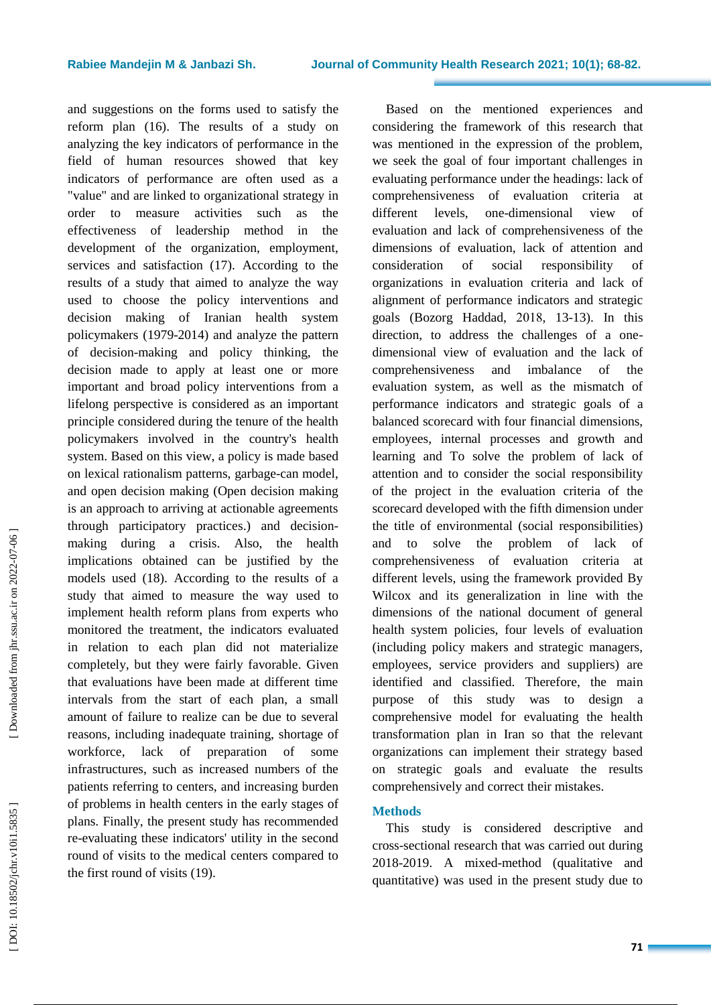#### **Rabiee Mandejin M & Janbazi Sh**

and suggestions on the forms used to satisfy the reform plan (16). The results of a study on analyzing the key indicators of performance in the field of human resources showed that key indicators of performance are often used as a "value" and are linked to organizational strategy in order to measure activities such as the effectiveness of leadership method in the development of the organization, employment , services and satisfaction (17). According to the results of a study that aimed to analyze the way used to choose the policy interventions and decision making of Iranian health system policymakers (1979 -2014) and analyz e the pattern of decision -making and policy thinking, the decision made to apply at least one or more important and broad policy interventions from a lifelong perspective is considered as an important principle considered during the tenure of the health policymakers involve d in the country's health system . Based on this view, a policy is made based on lexical rationalism patterns, garbage -can model, and open decision making (Open decision making is an approach to arriving at actionable agreements through participatory practices. ) and decision making during a crisis. Also, the health implications obtained can be justified by the models used (18). According to the results of a study that aimed to measure the way used to implement health reform plans from experts who monitored the treatment, the indicators evaluated in relation to each plan did not materialize completely, but they were fairly favorable . Given that evaluations have been made at different time intervals from the start of each plan, a small amount of failure to realize can be due to several reasons, including inadequate training, shortage of workforce, lack of preparation of some infrastructures, such as increased numbers of the patients referring to centers, and increasing burden of problems in health centers in the early stages of plans. Finally, the present study has recommended re -evaluating these indicators' utility in the second round of visit s to the medical centers compared to the first round of visits (19).

Based on the mentioned experiences and considering the framework of this research that was mentioned in the expression of the problem, we seek the goal of four important challenges in evaluating performance under the headings: lack of comprehensiveness of evaluation criteria at different levels. one-dimensional view of evaluation and lack of comprehensiveness of the dimensions of evaluation, lack of attention and consideration of social responsibility organizations in evaluation criteria and lack of alignment of performance indicators and strategic goals (Bozorg Haddad, 2012, 13 -13). In this direction, to address the challenges of a onedimensional view of evaluation and the lack of comprehensiveness and imbalance of the evaluation system, as well as the mismatch of performance indicators and strategic goals of a balanced scorecard with four financial dimensions, employees, internal processes and growth and learning and To solve the problem of lack of attention and to consider the social responsibility of the project in the evaluation criteria of the scorecard developed with the fifth dimension under the title of environmental (social responsibilities) and to solve the problem of lack of comprehensiveness of evaluation criteria at different levels, using the framework provided By Wilcox and its generalization in line with the dimensions of the national document of general health system policies, four levels of evaluation (including policy makers and strategic managers, employees, service providers and suppliers) are identified and classified. Therefore, the main purpose of this study was to design a comprehensive model for evaluating the health transformation plan in Iran so that the relevant organizations can implement their strategy based on strategic goals and evaluate the results comprehensively and correct their mistakes.

# **Methods**

This study is considered descriptive and cross -sectional research that was carried out during 2018 -2019. A mixed -method (qualitative and quantitative) was used in the present study due to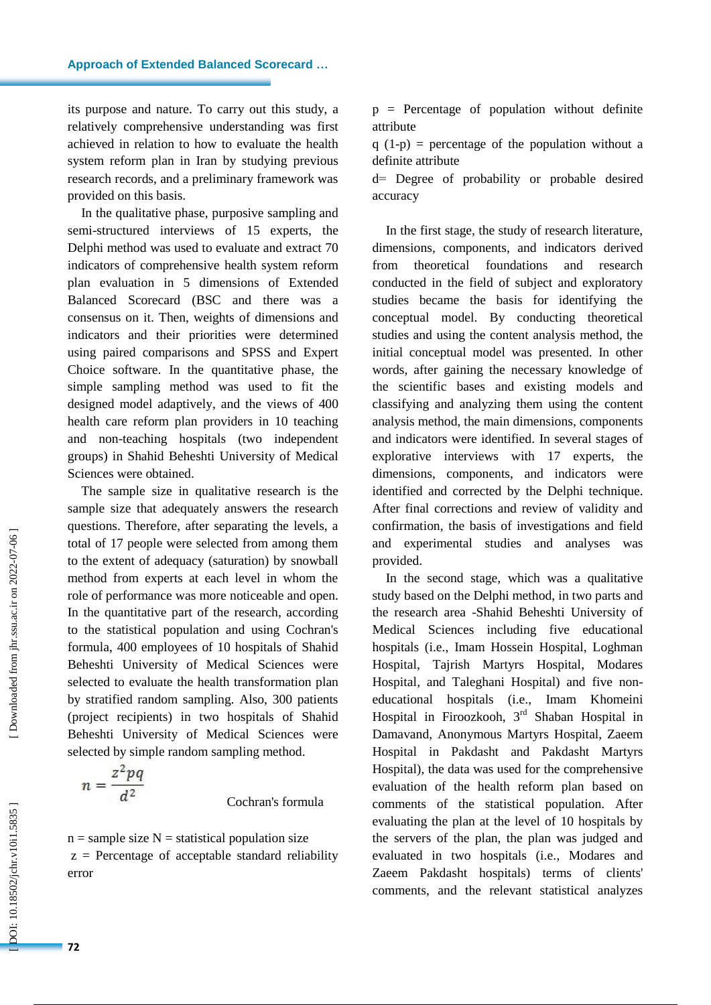its purpose and nature. To carry out this study, a relatively comprehensive understanding was first achieved in relation to how to evaluate the health system reform plan in Iran by studying previous research records, and a preliminary framework was provided on this basis.

In the qualitative phase, purposive sampling and semi -structured interviews of 15 experts, the Delphi method was used to evaluate and extract 70 indicators of comprehensive health system reform plan evaluation in 5 dimensions of Extended Balanced Scorecard (BSC and there was a consensus on it. Then, weights of dimensions and indicators and their priorities were determined using paired comparisons and SPSS and Expert Choice software. In the quantitative phase, the simple sampling method was used to fit the designed model adaptively, and the views of 400 health care reform plan providers in 10 teaching and non -teaching hospitals (two independent groups) in Shahid Beheshti University of Medical Sciences were obtained .

The sample size in qualitative research is the sample size that adequately answers the research questions. Therefore, after separating the levels, a total of 17 people were selected from among them to the extent of adequacy (saturation) by snowball method from experts at each level in whom the role of performance was more noticeable and open. In the quantitative part of the research, according to the statistical population and using Cochran's formula, 400 employees of 10 hospitals of Shahid Beheshti University of Medical Sciences were selected to evaluate the health transformation plan by stratified random sampling. Also, 300 patients (project recipients) in two hospitals of Shahid Beheshti University of Medical Sciences were selected by simple random sampling method.

$$
n=\frac{z^2pq}{d^2}
$$

Cochran's formula

 $n =$ sample size  $N =$ statistical population size  $z =$  Percentage of acceptable standard reliability error

 $p =$  Percentage of population without definite attribute

 $q(1-p)$  = percentage of the population without a definite attribute<br>d= Degree of probability or probable desired

accuracy

In the first stage, the study of research literature, dimensions, components , and indicators derived from theoretical foundations and research conducted in the field of subject and exploratory studies became the basis for identifying the conceptual model. By conducting theoretical studies and using the content analysis method, the initial conceptual model was presented. In other words, after gaining the necessary knowledge of the scientific bases and existing models and classifying and analyzing them using the content analysis method, the main dimensions, components and indicators were identified. In several stages of explorative interviews with 17 experts, the dimensions, components , and indicators were identified and corrected by the Delphi technique. After final corrections and review of validity and confirmation, the basis of investigations and field and experimental studies and analyses was provided.

In the second stage, which was a qualitative study based on the Delphi method, in two parts and the research area -Shahid Beheshti University of Medical Sciences including five educational hospitals (i.e. , Imam Hossein Hospital, Loghman Hospital, Tajrish Martyrs Hospital, Modares Hospital , and Taleghani Hospital) and five non educational hospitals (i.e. , Imam Khomeini Hospital in Firoozkooh, 3rd Shaban Hospital in Damavand, Anonymous Martyrs Hospital, Zaeem Hospital in Pakdasht and Pakdasht Martyrs Hospital), the data was used for the comprehensive evaluation of the health reform plan based on comments of the statistical population. After evaluating the plan at the level of 10 hospitals by the servers of the plan, the plan was judged and evaluated in two hospitals (i.e. , Modares and Zaeem Pakdasht hospitals) terms of clients' comments , and the relevant statistical analyzes

OOI: 10.18502/jchr.v10i1.5835

**72**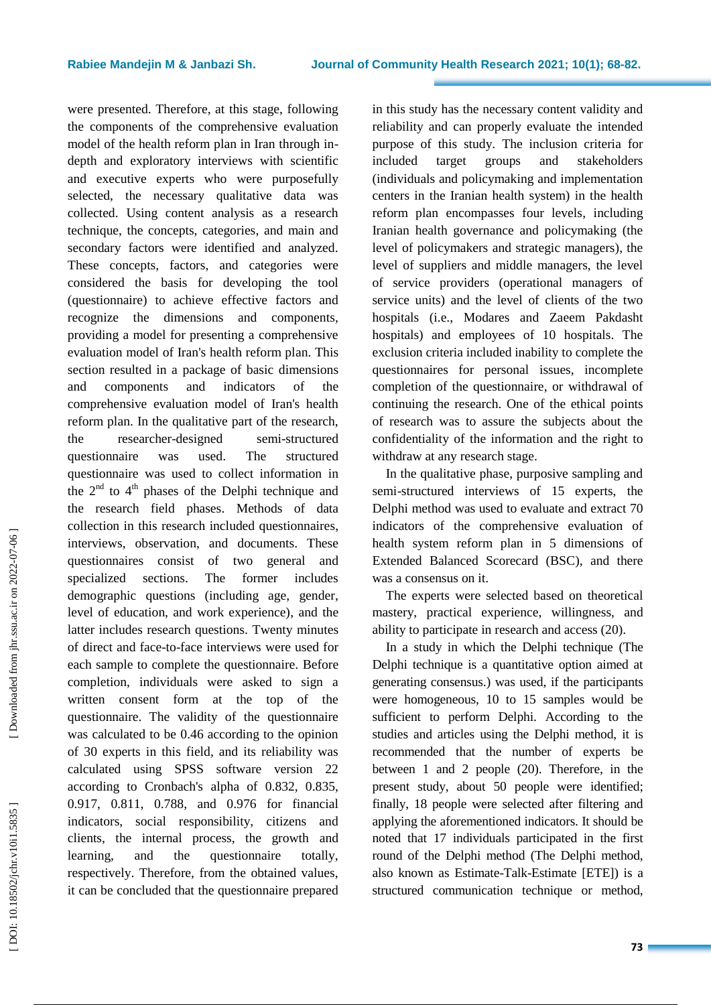were presented. Therefore, at this stage, following the components of the comprehensive evaluation model of the health reform plan in Iran through in depth and exploratory interviews with scientific and executive experts who were purposefully selected, the necessary qualitative data was collected. Using content analysis as a research technique, the concepts, categories , and main and secondary factors were identified and analyzed. These concepts, factors, and categories were considered the basis for developing the tool (questionnaire) to achieve effective factors and recognize the dimensions and components, providing a model for presenting a comprehensive evaluation model of Iran's health reform plan. This section resulted in a package of basic dimensions and components and indicators of the comprehensive evaluation model of Iran's health reform plan. In the qualitative part of the research, the researcher -designed semi semi-structured questionnaire was used. The structured questionnaire was used to collect information in the  $2<sup>nd</sup>$  to  $4<sup>th</sup>$  phases of the Delphi technique and the research field phases. Methods of data collection in this research included questionnaire s, interview s, observation , and documents. These questionnaires consist of two general and specialized sections. The former includes demographic questions (including age, gender, level of education, and work experience) , and the latter includes research questions. Twenty minutes of direct and face -to -face interviews were used for each sample to complete the questionnaire. Before completion, individuals were asked to sign a written consent form at the top of the questionnaire. The validity of the questionnaire was calculated to be 0.46 according to the opinion of 30 experts in this field , and its reliability was calculated using SPSS software version 22 according to Cronbach's alpha of 0.832, 0.835, 0.917, 0.811, 0.788 , and 0.976 for financial indicators, social responsibility, citizens and clients, the internal process, the growth and learning, and the questionnaire totally, respectively. Therefore, from the obtained values, it can be concluded that the questionnaire prepared

in this study has the necessary content validity and reliability and can properly evaluate the intended purpose of this study. The inclusion criteria for included target groups and stakeholders (individuals and policymaking and implementation centers in the Iranian health system) in the health reform plan encompasses four levels , including Iranian health governance and policymaking (the level of policymakers and strategic managers), the level of suppliers and middle managers, the level of service providers (operational managers of service units) and the level of clients of the two hospitals (i.e. , Modares and Zaeem Pakdasht hospitals) and employees of 10 hospitals. The exclusion criteria included inability to complete the questionnaires for personal issues, incomplete completion of the questionnaire , or withdrawal of continuing the research. One of the ethical points of research was to assure the subjects about the confidentiality of the information and the right to withdraw at any research stage .

In the qualitative phase, purposive sampling and semi -structured interviews of 15 experts, the Delphi method was used to evaluate and extract 70 indicators of the comprehensive evaluation of health system reform plan in 5 dimensions of Extended Balanced Scorecard (BSC), and there was a consensus on it.

The experts were selected based on theoretical mastery, practical experience, willingness , and ability to participate in research and access (20).

In a study in which the Delphi technique (The Delphi technique is a quantitative option aimed at generating consensus. ) was used , if the participants were homogeneous, 10 to 15 samples would be sufficient to perform Delphi. According to the studies and articles using the Delphi method, it is recommended that the number of experts be between 1 and 2 people (20). Therefore, in the present study, about 50 people were identified ; finally , 18 people were selected after filtering and applying the aforementioned indicators. It should be noted that 17 individuals participated in the first round of the Delphi method (The Delphi method, also known as Estimate -Talk -Estimate [ETE]) is a structured communication technique or method,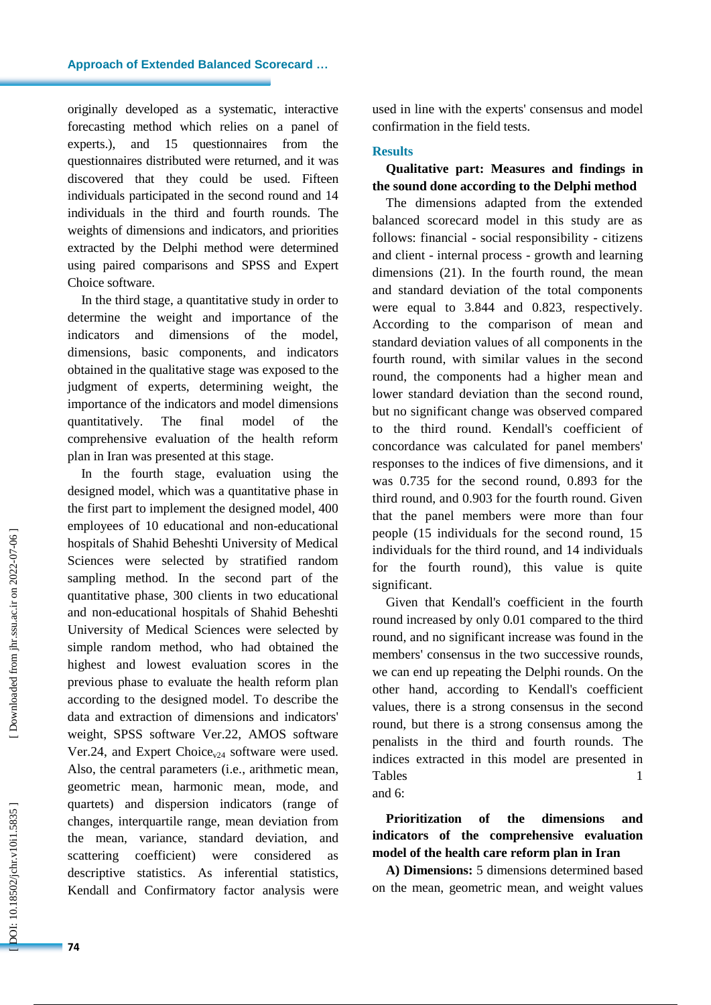originally developed as a systematic, interactive forecasting method which relies on a panel of experts.), and 15 questionnaires from the questionnaires distributed were returned , and it was discovered that they could be used. Fifteen individuals participated in the second round and 14 individuals in the third and fourth rounds. The weights of dimensions and indicators, and priorities extracted by the Delphi method were determined using paired comparisons and SPSS and Expert Choice software.

In the third stage, a quantitative study in order to determine the weight and importance of the indicators and dimensions of the model, dimensions, basic components , and indicators obtained in the qualitative stage was exposed to the judgment of experts, determining weight, the importance of the indicators and model dimensions quantitatively. The final model of the comprehensive evaluation of the health reform plan in Iran was presented at this stage.

In the fourth stage, evaluation using the designed model , which was a quantitative phase in the first part to implement the designed model, 400 employees of 10 educational and non -educational hospitals of Shahid Beheshti University of Medical Sciences were selected by stratified random sampling method. In the second part of the quantitative phase, 300 clients in two educational and non -educational hospitals of Shahid Beheshti University of Medical Sciences were selected by simple random method, who had obtained the highest and lowest evaluation scores in the previous phase to evaluate the health reform plan according to the designed model. To describe the data and extraction of dimensions and indicators' weight, SPSS software Ver.22, AMOS software Ver.24, and Expert Choice<sub>v24</sub> software were used. Also, the central parameters (i.e. , arithmetic mean, geometric mean, harmonic mean, mode , and quartets) and dispersion indicators (range of changes, interquartile range, mean deviation from the mean, variance, standard deviation, and scattering coefficient) were considered as descriptive statistics. As inferential statistics, Kendall and Confirmatory factor analys is were used in line with the experts' consensus and model confirmation in the field tests.

# **Results**

# **Qualitative part: Measures and findings in the sound done according to the Delphi method**

The dimensions adapted from the extended balanced scorecard model in this study are as follows: financial - social responsibility - citizens and client - internal process - growth and learning dimensions (21). In the fourth round, the mean and standard deviation of the total components were equal to 3.844 and 0.823, respectively. According to the comparison of mean and standard deviation values of all components in the fourth round, with similar values in the second round, the components had a higher mean and lower standard deviation than the second round, but no significant change was observed compared to the third round. Kendall's coefficient of concordance was calculated for panel members' responses to the indices of five dimensions, and it was 0.735 for the second round, 0.893 for the third round, and 0.903 for the fourth round. Given that the panel members were more than four people (15 individuals for the second round, 15 individuals for the third round, and 14 individuals for the fourth round), this value is quite significant.

Given that Kendall's coefficient in the fourth round increased by only 0.01 compared to the third round , and no significant increase was found in the members' consensus in the two successive rounds, we can end up repeating the Delphi rounds. On the other hand, according to Kendall's coefficient values , there is a strong consensus in the second round, but there is a strong consensus among the penalists in the third and fourth rounds. The indices extracted in this model are presented in Tables 1 and 6:

**Prioritization of the dimensions and indicators of the comprehensive evaluation model of the health care reform plan in Iran**

**A) Dimensions:** 5 dimensions determined based on the mean, geometric mean , and weight values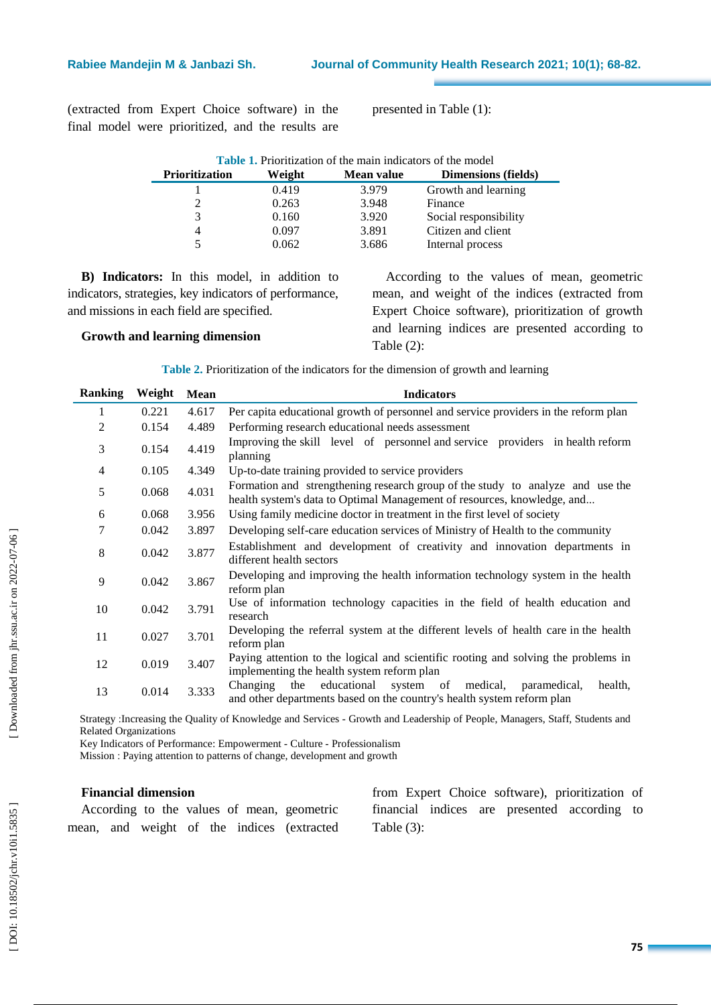(extracted from Expert Choice software) in the final model were prioritized, and the results are presented in Table (1) :

| <b>Table 1.</b> Prioritization of the main indicators of the model |        |            |                            |  |  |  |
|--------------------------------------------------------------------|--------|------------|----------------------------|--|--|--|
| <b>Prioritization</b>                                              | Weight | Mean value | <b>Dimensions (fields)</b> |  |  |  |
|                                                                    | 0.419  | 3.979      | Growth and learning        |  |  |  |
| 2                                                                  | 0.263  | 3.948      | Finance                    |  |  |  |
| 3                                                                  | 0.160  | 3.920      | Social responsibility      |  |  |  |
| 4                                                                  | 0.097  | 3.891      | Citizen and client         |  |  |  |
| 5                                                                  | 0.062  | 3.686      | Internal process           |  |  |  |

**B) Indicators:** In this model, in addition to indicators, strategies, key indicators of performance, and missions in each field are specified.

# **Growth and learning dimension**

According to the values of mean, geometric mean , and weight of the indices (extracted from Expert Choice software), prioritization of growth and learning indice s are presented according to Table (2) :

**Table 2 .** Prioritization of the indicators for the dimension of growth and learning

| <b>Ranking</b> | Weight | Mean  | <b>Indicators</b>                                                                                                                                         |
|----------------|--------|-------|-----------------------------------------------------------------------------------------------------------------------------------------------------------|
| 1              | 0.221  | 4.617 | Per capita educational growth of personnel and service providers in the reform plan                                                                       |
| 2              | 0.154  | 4.489 | Performing research educational needs assessment                                                                                                          |
| 3              | 0.154  | 4.419 | Improving the skill level of personnel and service providers in health reform<br>planning                                                                 |
| $\overline{4}$ | 0.105  | 4.349 | Up-to-date training provided to service providers                                                                                                         |
| 5              | 0.068  | 4.031 | Formation and strengthening research group of the study to analyze and use the<br>health system's data to Optimal Management of resources, knowledge, and |
| 6              | 0.068  | 3.956 | Using family medicine doctor in treatment in the first level of society                                                                                   |
| 7              | 0.042  | 3.897 | Developing self-care education services of Ministry of Health to the community                                                                            |
| 8              | 0.042  | 3.877 | Establishment and development of creativity and innovation departments in<br>different health sectors                                                     |
| 9              | 0.042  | 3.867 | Developing and improving the health information technology system in the health<br>reform plan                                                            |
| 10             | 0.042  | 3.791 | Use of information technology capacities in the field of health education and<br>research                                                                 |
| 11             | 0.027  | 3.701 | Developing the referral system at the different levels of health care in the health<br>reform plan                                                        |
| 12             | 0.019  | 3.407 | Paying attention to the logical and scientific rooting and solving the problems in<br>implementing the health system reform plan                          |
| 13             | 0.014  | 3.333 | educational<br>Changing<br>the<br>system of medical,<br>paramedical.<br>health,<br>and other departments based on the country's health system reform plan |

Strategy :Increasing the Quality of Knowledge and Services - Growth and Leadership of People, Managers, Staff, Students and Related Organizations

Key Indicators of Performance: Empowerment - Culture - Professionalism

Mission : Paying attention to patterns of change, development and growth

# **Financial dimension**

|  |  |  | According to the values of mean, geometric |
|--|--|--|--------------------------------------------|
|  |  |  | mean, and weight of the indices (extracted |

from Expert Choice software), prioritization of financial indices are presented according to Table ( 3 ) :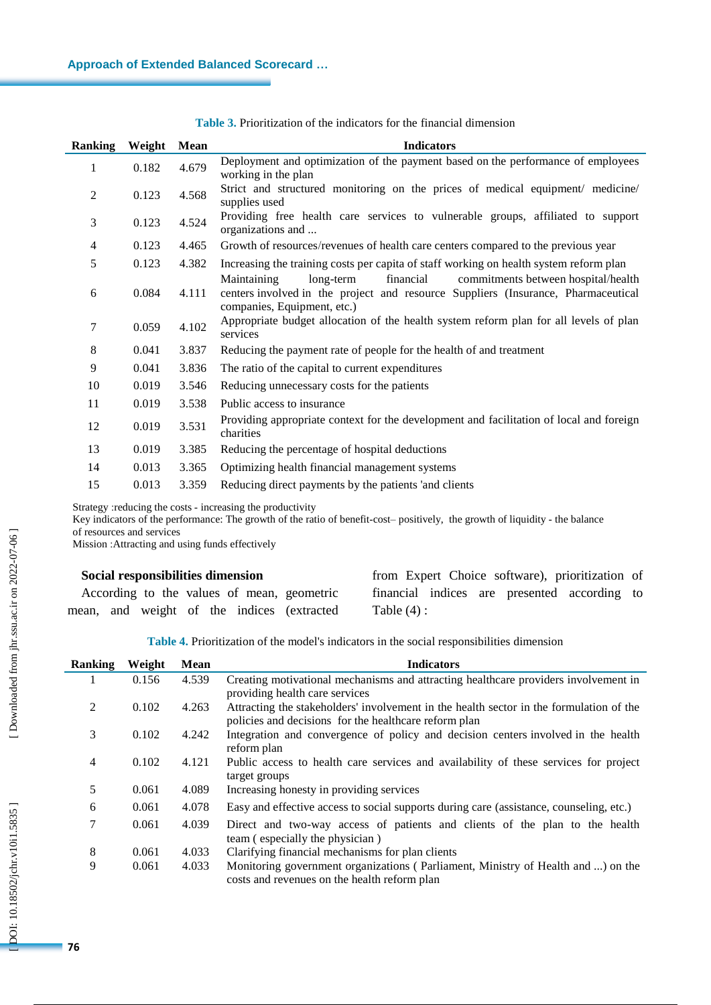| Ranking        | Weight | <b>Mean</b> | <b>Indicators</b>                                                                                                                                                                                |
|----------------|--------|-------------|--------------------------------------------------------------------------------------------------------------------------------------------------------------------------------------------------|
| $\mathbf{1}$   | 0.182  | 4.679       | Deployment and optimization of the payment based on the performance of employees<br>working in the plan                                                                                          |
| $\overline{2}$ | 0.123  | 4.568       | Strict and structured monitoring on the prices of medical equipment/ medicine/<br>supplies used                                                                                                  |
| 3              | 0.123  | 4.524       | Providing free health care services to vulnerable groups, affiliated to support<br>organizations and                                                                                             |
| 4              | 0.123  | 4.465       | Growth of resources/revenues of health care centers compared to the previous year                                                                                                                |
| 5              | 0.123  | 4.382       | Increasing the training costs per capita of staff working on health system reform plan                                                                                                           |
| 6              | 0.084  | 4.111       | Maintaining<br>financial<br>commitments between hospital/health<br>long-term<br>centers involved in the project and resource Suppliers (Insurance, Pharmaceutical<br>companies, Equipment, etc.) |
| 7              | 0.059  | 4.102       | Appropriate budget allocation of the health system reform plan for all levels of plan<br>services                                                                                                |
| 8              | 0.041  | 3.837       | Reducing the payment rate of people for the health of and treatment                                                                                                                              |
| 9              | 0.041  | 3.836       | The ratio of the capital to current expenditures                                                                                                                                                 |
| 10             | 0.019  | 3.546       | Reducing unnecessary costs for the patients                                                                                                                                                      |
| 11             | 0.019  | 3.538       | Public access to insurance                                                                                                                                                                       |
| 12             | 0.019  | 3.531       | Providing appropriate context for the development and facilitation of local and foreign<br>charities                                                                                             |
| 13             | 0.019  | 3.385       | Reducing the percentage of hospital deductions                                                                                                                                                   |
| 14             | 0.013  | 3.365       | Optimizing health financial management systems                                                                                                                                                   |
| 15             | 0.013  | 3.359       | Reducing direct payments by the patients 'and clients                                                                                                                                            |

**Table 3 .** Prioritization of the indicators for the financial dimension

Strategy : reducing the costs - increasing the productivity

Key indicators of the performance: The growth of the ratio of benefit -cost– positively, the growth of liquidity - the balance of resources and services

Mission :Attracting and using funds effectively

| Social responsibilities dimension             | from Expert Choice software), prioritization of |
|-----------------------------------------------|-------------------------------------------------|
| According to the values of mean, geometric    | financial indices are presented according to    |
| and weight of the indices (extracted<br>mean, | Table $(4)$ :                                   |

**Table 4.** Prioritization of the model's indicators in the social responsibilities dimension

| <b>Ranking</b> | Weight | <b>Mean</b> | <b>Indicators</b>                                                                       |
|----------------|--------|-------------|-----------------------------------------------------------------------------------------|
|                | 0.156  | 4.539       | Creating motivational mechanisms and attracting healthcare providers involvement in     |
|                |        |             | providing health care services                                                          |
| 2              | 0.102  | 4.263       | Attracting the stakeholders' involvement in the health sector in the formulation of the |
|                |        |             | policies and decisions for the healthcare reform plan                                   |
| 3              | 0.102  | 4.242       | Integration and convergence of policy and decision centers involved in the health       |
|                |        |             | reform plan                                                                             |
| $\overline{4}$ | 0.102  | 4.121       | Public access to health care services and availability of these services for project    |
|                |        |             | target groups                                                                           |
| 5              | 0.061  | 4.089       | Increasing honesty in providing services                                                |
| 6              | 0.061  | 4.078       | Easy and effective access to social supports during care (assistance, counseling, etc.) |
| 7              | 0.061  | 4.039       | Direct and two-way access of patients and clients of the plan to the health             |
|                |        |             | team (especially the physician)                                                         |
| 8              | 0.061  | 4.033       | Clarifying financial mechanisms for plan clients                                        |
| 9              | 0.061  | 4.033       | Monitoring government organizations (Parliament, Ministry of Health and ) on the        |
|                |        |             | costs and revenues on the health reform plan                                            |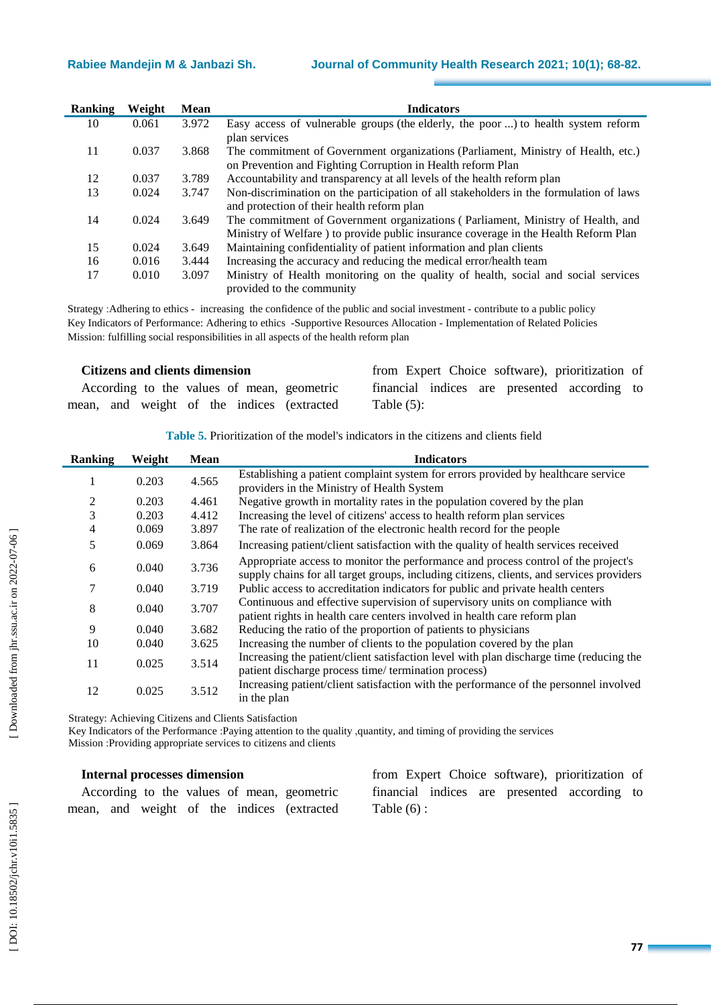| <b>Ranking</b> | Weight | <b>Mean</b> | <b>Indicators</b>                                                                      |
|----------------|--------|-------------|----------------------------------------------------------------------------------------|
| 10             | 0.061  | 3.972       | Easy access of vulnerable groups (the elderly, the poor ) to health system reform      |
|                |        |             | plan services                                                                          |
| 11             | 0.037  | 3.868       | The commitment of Government organizations (Parliament, Ministry of Health, etc.)      |
|                |        |             | on Prevention and Fighting Corruption in Health reform Plan                            |
| 12             | 0.037  | 3.789       | Accountability and transparency at all levels of the health reform plan                |
| 13             | 0.024  | 3.747       | Non-discrimination on the participation of all stakeholders in the formulation of laws |
|                |        |             | and protection of their health reform plan                                             |
| 14             | 0.024  | 3.649       | The commitment of Government organizations (Parliament, Ministry of Health, and        |
|                |        |             | Ministry of Welfare ) to provide public insurance coverage in the Health Reform Plan   |
| 15             | 0.024  | 3.649       | Maintaining confidentiality of patient information and plan clients                    |
| 16             | 0.016  | 3.444       | Increasing the accuracy and reducing the medical error/health team                     |
| 17             | 0.010  | 3.097       | Ministry of Health monitoring on the quality of health, social and social services     |
|                |        |             | provided to the community                                                              |

Strategy :Adhering to ethics - increasing the confidence of the public and social investment - contribute to a public policy Key Indicators of Performance: Adhering to ethics -Supportive Resources Allocation - Implementation of Related Policies Mission : fulfilling social responsibilities in all aspects of the health reform plan

# **Citizens and clients dimension**

| <b>Citizens and clients dimension</b>      | from Expert Choice software), prioritization of |
|--------------------------------------------|-------------------------------------------------|
| According to the values of mean, geometric | financial indices are presented according to    |
| mean, and weight of the indices (extracted | Table $(5)$ :                                   |

**Table 5.** Prioritization of the model's indicators in the citizens and clients field

| Ranking        | Weight | <b>Mean</b> | <b>Indicators</b>                                                                                                                                                              |
|----------------|--------|-------------|--------------------------------------------------------------------------------------------------------------------------------------------------------------------------------|
|                | 0.203  | 4.565       | Establishing a patient complaint system for errors provided by healthcare service                                                                                              |
|                |        |             | providers in the Ministry of Health System                                                                                                                                     |
| $\overline{c}$ | 0.203  | 4.461       | Negative growth in mortality rates in the population covered by the plan                                                                                                       |
| 3              | 0.203  | 4.412       | Increasing the level of citizens' access to health reform plan services                                                                                                        |
| 4              | 0.069  | 3.897       | The rate of realization of the electronic health record for the people                                                                                                         |
| 5              | 0.069  | 3.864       | Increasing patient/client satisfaction with the quality of health services received                                                                                            |
| 6              | 0.040  | 3.736       | Appropriate access to monitor the performance and process control of the project's<br>supply chains for all target groups, including citizens, clients, and services providers |
| 7              | 0.040  | 3.719       | Public access to accreditation indicators for public and private health centers                                                                                                |
| 8              | 0.040  | 3.707       | Continuous and effective supervision of supervisory units on compliance with<br>patient rights in health care centers involved in health care reform plan                      |
| 9              | 0.040  | 3.682       | Reducing the ratio of the proportion of patients to physicians                                                                                                                 |
| 10             | 0.040  | 3.625       | Increasing the number of clients to the population covered by the plan                                                                                                         |
| 11             | 0.025  | 3.514       | Increasing the patient/client satisfaction level with plan discharge time (reducing the<br>patient discharge process time/termination process)                                 |
| 12             | 0.025  | 3.512       | Increasing patient/client satisfaction with the performance of the personnel involved<br>in the plan                                                                           |

Strategy: Achieving Citizens and Clients Satisfaction

Key Indicators of the Performance :Paying attention to the quality ,quantity , and timing of providing the services Mission :Providing appropriate services to citizens and clients

### **Internal processes dimension**

|  |  |  | According to the values of mean, geometric |
|--|--|--|--------------------------------------------|
|  |  |  | mean, and weight of the indices (extracted |

from Expert Choice software), prioritization of financial indices are presented according to Table (6) :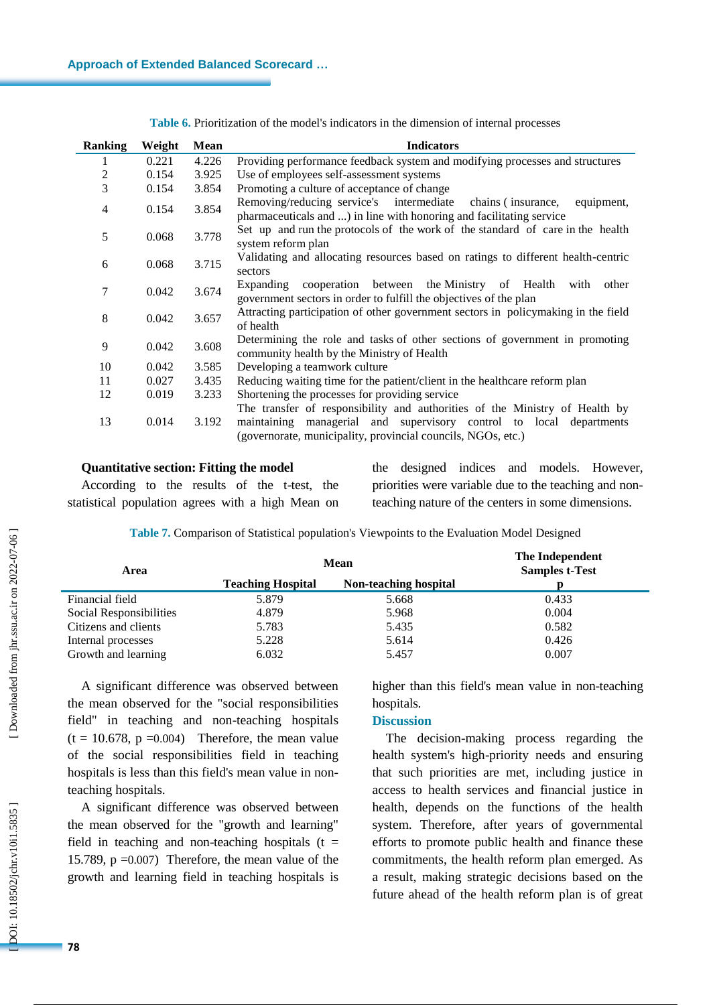| <b>Ranking</b> | Weight | Mean  | <b>Indicators</b>                                                                                                                                                                                                  |  |  |  |  |  |
|----------------|--------|-------|--------------------------------------------------------------------------------------------------------------------------------------------------------------------------------------------------------------------|--|--|--|--|--|
| 1              | 0.221  | 4.226 | Providing performance feedback system and modifying processes and structures                                                                                                                                       |  |  |  |  |  |
| $\overline{c}$ | 0.154  | 3.925 | Use of employees self-assessment systems                                                                                                                                                                           |  |  |  |  |  |
| 3              | 0.154  | 3.854 | Promoting a culture of acceptance of change                                                                                                                                                                        |  |  |  |  |  |
| $\overline{4}$ | 0.154  | 3.854 | Removing/reducing service's intermediate<br>chains (insurance,<br>equipment,<br>pharmaceuticals and ) in line with honoring and facilitating service                                                               |  |  |  |  |  |
| 5              | 0.068  | 3.778 | Set up and run the protocols of the work of the standard of care in the health<br>system reform plan                                                                                                               |  |  |  |  |  |
| 6              | 0.068  | 3.715 | Validating and allocating resources based on ratings to different health-centric<br>sectors                                                                                                                        |  |  |  |  |  |
| 7              | 0.042  | 3.674 | cooperation between the Ministry of Health<br>Expanding<br>with<br>other<br>government sectors in order to fulfill the objectives of the plan                                                                      |  |  |  |  |  |
| 8              | 0.042  | 3.657 | Attracting participation of other government sectors in policymaking in the field<br>of health                                                                                                                     |  |  |  |  |  |
| 9              | 0.042  | 3.608 | Determining the role and tasks of other sections of government in promoting<br>community health by the Ministry of Health                                                                                          |  |  |  |  |  |
| 10             | 0.042  | 3.585 | Developing a teamwork culture                                                                                                                                                                                      |  |  |  |  |  |
| 11             | 0.027  | 3.435 | Reducing waiting time for the patient/client in the healthcare reform plan                                                                                                                                         |  |  |  |  |  |
| 12             | 0.019  | 3.233 | Shortening the processes for providing service                                                                                                                                                                     |  |  |  |  |  |
| 13             | 0.014  | 3.192 | The transfer of responsibility and authorities of the Ministry of Health by<br>maintaining managerial and supervisory control to local departments<br>(governorate, municipality, provincial councils, NGOs, etc.) |  |  |  |  |  |

**Table 6 .** Prioritization of the model's indicators in the dimension of internal processes

#### **Quantitative section: Fitting the model**

According to the results of the t -test, the statistical population agrees with a high Mean on

the designed indices and models . However, priorities were variable due to the teaching and non teaching nature of the centers in some dimensions.

| Area                    | <b>Mean</b>              | The Independent<br><b>Samples t-Test</b> |       |  |
|-------------------------|--------------------------|------------------------------------------|-------|--|
|                         | <b>Teaching Hospital</b> | Non-teaching hospital                    |       |  |
| Financial field         | 5.879                    | 5.668                                    | 0.433 |  |
| Social Responsibilities | 4.879                    | 5.968                                    | 0.004 |  |
| Citizens and clients    | 5.783                    | 5.435                                    | 0.582 |  |
| Internal processes      | 5.228                    | 5.614                                    | 0.426 |  |
| Growth and learning     | 6.032                    | 5.457                                    | 0.007 |  |

**Table 7 .** Comparison of Statistical population's Viewpoints to the Evaluation Model Designed

A significant difference was observed between the mean observed for the "social responsibilities field" in teaching and non -teaching hospitals  $(t = 10.678, p = 0.004)$  Therefore, the mean value of the social responsibilities field in teaching hospitals is less than this field's mean value in non teaching hospitals.

A significant difference was observed between the mean observed for the "growth and learning" field in teaching and non-teaching hospitals  $(t =$ 15.789, p =0.007) Therefore, the mean value of the growth and learning field in teaching hospitals is

higher than this field's mean value in non -teaching hospitals.

# **Discussion**

The decision -making process regarding the health system's high -priority needs and ensuring that such priorities are met, including justice in access to health services and financial justice in health, depends on the functions of the health system. Therefore, after years of governmental efforts to promote public health and finance these commitments, the health reform plan emerged. As a result, making strategic decisions based on the future ahead of the health reform plan is of great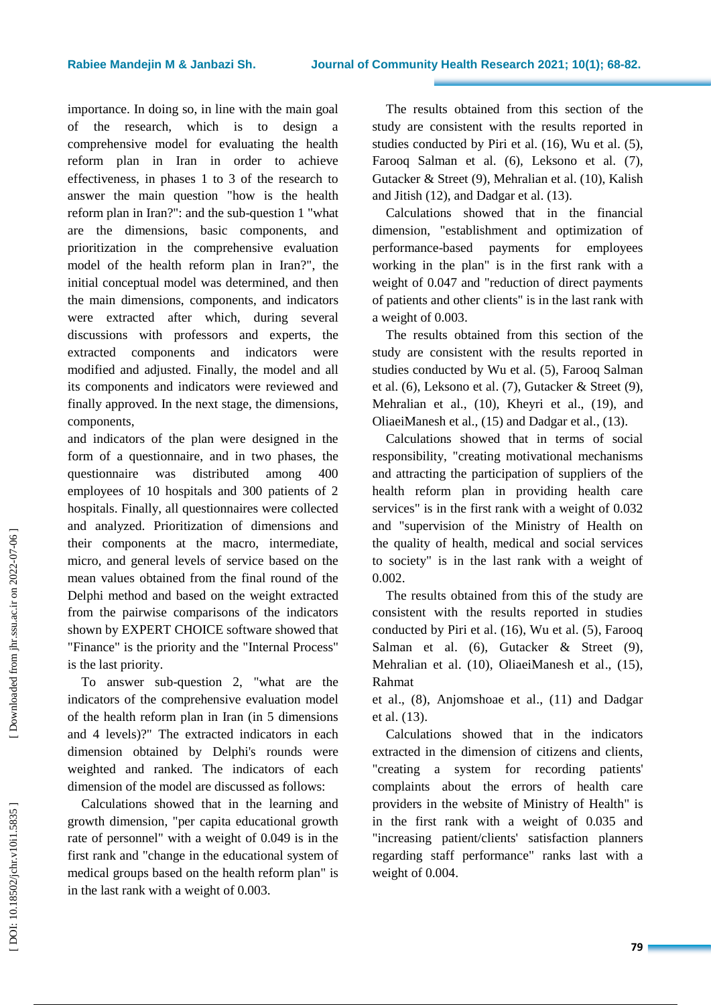importance. In doing so, in line with the main goal of the research, which is to design a comprehensive model for evaluating the health reform plan in Iran in order to achieve effectiveness, in phases 1 to 3 of the research to answer the main question "how is the health reform plan in Iran?": and the sub -question 1 " what are the dimensions, basic components , and prioritization in the comprehensive evaluation model of the health reform plan in Iran?", the initial conceptual model was determined , and then the main dimensions, component s , and indicators were extracted after which, during several discussions with professors and experts, the extracted components and indicators were modified and adjusted. Finally, the model and all its components and indicators were reviewed and finally approved. In the next stage, the dimensions, components ,

and indicators of the plan were designed in the form of a questionnaire , and in two phases, the questionnaire was distributed among 400 employees of 10 hospitals and 300 patients of 2 hospitals . Finally , all questionnaires were collected and analyzed. Prioritization of dimensions and their components at the macro, intermediate, micro , and general levels of service based on the mean values obtained from the final round of the Delphi method and based on the weight extracted from the pairwise comparisons of the indicators shown by EXPERT CHOICE software showed that "Finance" is the priority and the "Internal Process" is the last priority.

To answer sub -question 2, "what are the indicators of the comprehensive evaluation model of the health reform plan in Iran (in 5 dimensions and 4 levels)?" The extracted indicators in each dimension obtained by Delphi's rounds were weighted and ranked. The indicators of each dimension of the model are discussed as follows:

Calculations showed that in the learning and growth dimension, "per capita educational growth rate of personnel" with a weight of 0.049 is in the first rank and "change in the educational system of medical groups based on the health reform plan" is in the last rank with a weight of 0.003.

The results obtained from this section of the study are consistent with the results reported in studies conducted by Piri et al. (16), Wu et al. ( 5), Farooq Salman et al. (6), Leksono et al. (7), Gutacker & Street ( 9), Mehralian et al. (10), Kalish and Jitish (12), and Dadgar et al. (13).

Calculations showed that in the financial dimension, "establishment and optimization of performance -based payments for employees working in the plan" is in the first rank with a weight of 0.047 and "reduction of direct payments of patients and other clients" is in the last rank with a weight of 0.003 .

The results obtained from this section of the study are consistent with the results reported in studies conducted by Wu et al. ( 5), Farooq Salman et al. ( 6), Leksono et al. ( 7), Gutacker & Street ( 9), Mehralian et al., (10), Kheyri et al., (19), and OliaeiManesh et al., (15) and Dadgar et al. , (13).

Calculations showed that in terms of social responsibility, "creating motivational mechanisms and attracting the participation of suppliers of the health reform plan in providing health care services" is in the first rank with a weight of 0.032 and "supervision of the Ministry of Health on the quality of health, medical and social services to society" is in the last rank with a weight of 0.002.

The results obtained from this of the study are consistent with the results reported in studies conducted by Piri et al . (16), Wu et al. ( 5), Farooq Salman et al. (6), Gutacker & Street (9), Mehralian et al. (10), OliaeiManesh et al., (15), Rahmat

et al., (8), Anjomshoae et al., (11) and Dadgar et al. (13).

Calculations showed that in the indicators extracted in the dimension of citizens and clients,<br>"creating a system for recording patients' complaints about the errors of health care providers in the website of Ministry of Health" is in the first rank with a weight of 0.035 and "increasing patient/clients' satisfaction planners regarding staff performance" ranks last with a weight of 0.004.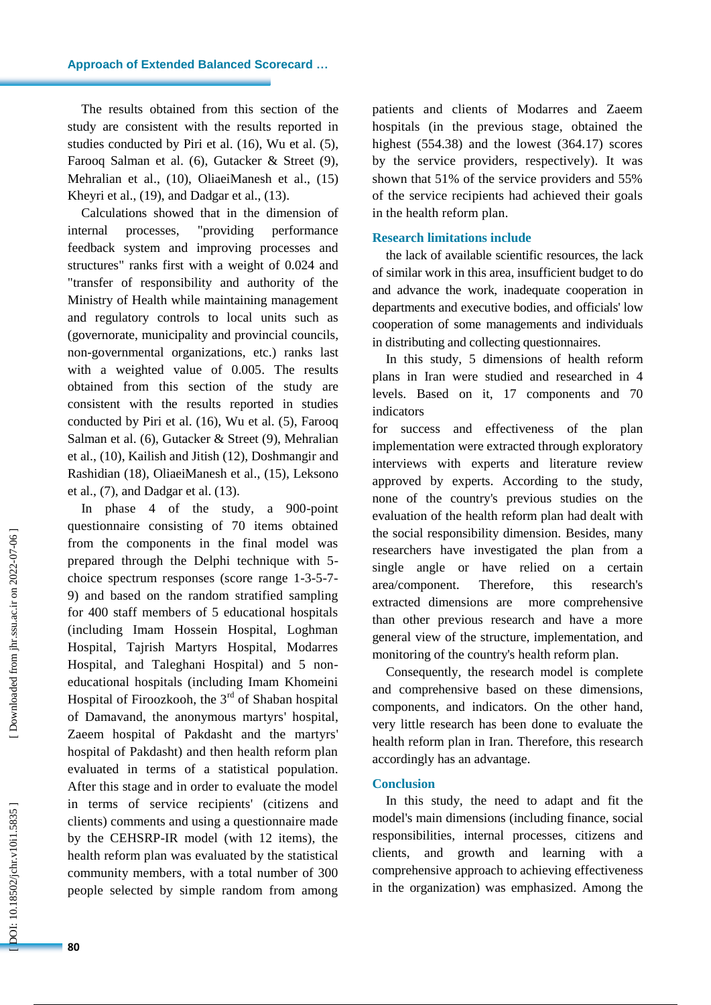The results obtained from this section of the study are consistent with the results reported in studies conducted by Piri et al. (16), Wu et al. (5), Farooq Salman et al. ( 6), Gutacker & Street (9), Mehralian et al., (10), OliaeiManesh et al., (15) Kheyri et al., (19), and Dadgar et al., (13).

Calculations showed that in the dimension of internal processes, "providing performance feedback system and improving processes and structures" ranks first with a weight of 0.024 and "transfer of responsibility and authority of the Ministry of Health while maintaining management and regulatory controls to local units such as (governorate, municipality and provincial councils, non -governmental organizations, etc.) ranks last with a weighted value of 0.005 . The results obtained from this section of the study are consistent with the results reported in studies conducted by Piri et al . (16), Wu et al. ( 5), Farooq Salman et al. ( 6), Gutacker & Street (9), Mehralian et al. , (10), Ka ilish and Jitish (12), Doshmangir and Rashidian (18), OliaeiManesh et al., (15), Leksono et al. , ( 7), and Dadgar et al. (13).

In phase 4 of the study, a 900 -point questionnaire consisting of 70 items obtained from the components in the final model was prepared through the Delphi technique with 5 choice spectrum responses (score range 1-3-5-7-9) and based on the random stratified sampling for 400 staff members of 5 educational hospitals (including Imam Hossein Hospital, Loghman Hospital, Tajrish Martyrs Hospital, Modarres Hospital , and Taleghani Hospital) and 5 non educational hospitals (including Imam Khomeini Hospital of Firoozkooh, the  $3<sup>rd</sup>$  of Shaban hospital of Damavand, the anonymous martyrs' hospital, Zaeem hospital of Pakdasht and the martyrs' hospital of Pakdasht) and then health reform plan evaluated in terms of a statistical population. After this stage and in order to evaluate the model in terms of service recipients' (citizens and clients) comments and using a questionnaire made by the CEHSRP -IR model (with 12 items), the health reform plan was evaluated by the statistical community members, with a total number of 300 people selected by simple random from among

patients and clients of Modarres and Zaeem hospitals (in the previous stage, obtained the highest (554.38) and the lowest (364.17) scores by the service providers, respectively). It was shown that 51% of the service providers and 55% of the service recipients had achieved their goals in the health reform plan.

## **Research limitations include**

the lack of available scientific resources, the lack of similar work in this area, insufficient budget to do and advance the work, inadequate cooperation in departments and executive bodies, and officials' low cooperation of some managements and individuals in distributing and collecting questionnaires.

In this study, 5 dimensions of health reform plans in Iran were studied and researched in 4 levels. Based on it, 17 components and 70 indicators

for success and effectiveness of the plan implementation were extracted through exploratory interviews with experts and literature review approved by experts. According to the study, none of the country's previous studies on the evaluation of the health reform plan had dealt with the social responsibility dimension. Besides, many researchers have investigated the plan from a single angle or have relied on a certain area/component. Therefore, this research's extracted dimensions are more comprehensive than other previous research and have a more general view of the structure, implementation, and monitoring of the country's health reform plan.

Consequently, the research model is complete and comprehensive based on these dimensions, components, and indicators. On the other hand, very little research has been done to evaluate the health reform plan in Iran. Therefore, this research accordingly has an advantage.

# **Conclusion**

In this study, the need to adapt and fit the model's main dimensions (including financ e, social responsibilities, internal processes, citizens and clients , and growth and learning with a comprehensive approach to achieving effectiveness in the organization) was emphasized. Among the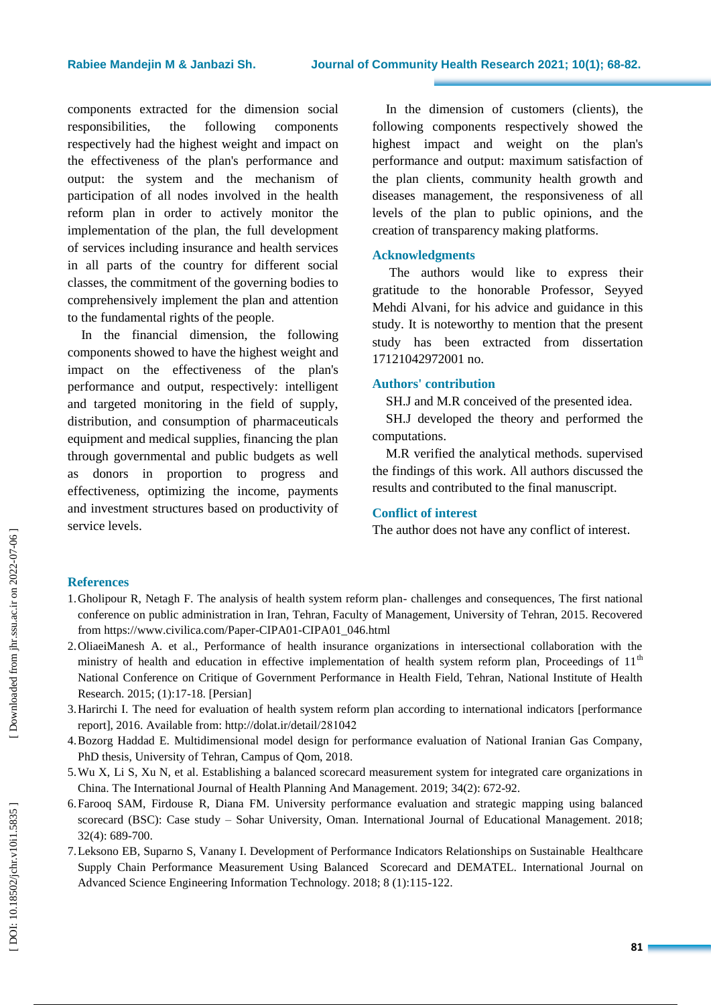components extracted for the dimension social responsibilities, the following components respectively ha d the highest weight and impact on the effectiveness of the plan's performance and output: the system and the mechanism of participation of all nodes involved in the health reform plan in order to actively monitor the implementation of the plan, the full development of services including insurance and health services in all parts of the country for different social classes, the commitment of the governing bodies to comprehensively implement the plan and attention to the fundamental rights of the people .

In the financial dimension, the following components showed to have the highest weight and impact on the effectiveness of the plan's performance and output , respectively: intelligent and targeted monitoring in the field of supply, distribution , and consumption of pharmaceuticals equipment and medical supplies, financing the plan through governmental and public budgets as well as donors in proportion to progress and effectiveness, optimizing the income, payments and investment structures based on productivity of service levels.

In the dimension of customers (clients), the following components respectively showed the highest impact and weight on the plan's performance and output: maximum satisfaction of the plan clients, community health growth and diseases management, the responsiveness of all levels of the plan to public opinions, and the creation of transparency making platforms.

# **Acknowledgments**

The authors would like to express their gratitude to the honorable Professor, Seyyed Mehdi Alvani , for his advice and guidance in this study. It is noteworthy to mention that the present study has been extracted from dissertation 17121042972001 no.

# **Authors' contribution**

SH.J and M.R conceived of the presented idea.

SH.J developed the theory and performed the computations.

M.R verified the analytical methods. supervised the findings of this work. All authors discussed the results and contributed to the final manuscript.

# **Conflict of interest**

The author does not have any conflict of interest .

# **References**

- 1.Gholipour R, Netagh F. The analysis of health system reform plan challenges and consequences, The first national conference on public administration in Iran, Tehran, Faculty of Management, University of Tehran, 2015. Recovered from [https://www.civilica.com/Paper](https://www.civilica.com/Paper-CIPA01-CIPA01_046.html)-CIPA01-CIPA01\_046.html
- 2.OliaeiManesh A. et al., Performance of health insurance organizations in intersectional collaboration with the ministry of health and education in effective implementation of health system reform plan, Proceedings of  $11<sup>th</sup>$ National Conference on Critique of Government Performance in Health Field, Tehran, National Institute of Health Research. 2015; (1):17 -18. [Persian]
- 3.Harirchi I. The need for evaluation of health system reform plan according to international indicators [performance report], 2016. Available from: http://dolat.ir/detail/281042
- 4.Bozorg Haddad E. Multidimensional model design for performance evaluation of National Iranian Gas Company, PhD thesis, University of Tehran, Campus of Qom, 2018.
- 5.Wu X, Li S, Xu N, et al. Establishing a balanced scorecard measurement system for integrated care organizations in China. The International Journal of Health Planning And Management. 2019; 34(2): 672 -92.
- 6.Farooq SAM, Firdouse R, Diana FM. University performance evaluation and strategic mapping using balanced scorecard (BSC): Case study – Sohar University, Oman. International Journal of Educational Management. 2018; 32(4): 689 -700.
- 7.Leksono EB, Suparno S, Vanany I. Development of Performance Indicators Relationships on Sustainable Healthcare Supply Chain Performance Measurement Using Balanced Scorecard and DEMATEL. International Journal on Advanced Science Engineering Information Technology. 2018; 8 (1):115 -122.